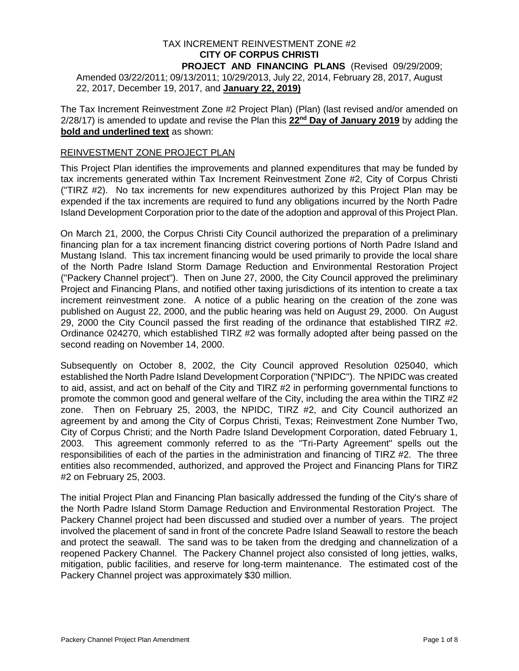## TAX INCREMENT REINVESTMENT ZONE #2 **CITY OF CORPUS CHRISTI**

**PROJECT AND FINANCING PLANS** (Revised 09/29/2009; Amended 03/22/2011; 09/13/2011; 10/29/2013, July 22, 2014, February 28, 2017, August 22, 2017, December 19, 2017, and **January 22, 2019)**

The Tax Increment Reinvestment Zone #2 Project Plan) (Plan) (last revised and/or amended on 2/28/17) is amended to update and revise the Plan this **22nd Day of January 2019** by adding the **bold and underlined text** as shown:

#### REINVESTMENT ZONE PROJECT PLAN

This Project Plan identifies the improvements and planned expenditures that may be funded by tax increments generated within Tax Increment Reinvestment Zone #2, City of Corpus Christi ("TIRZ #2). No tax increments for new expenditures authorized by this Project Plan may be expended if the tax increments are required to fund any obligations incurred by the North Padre Island Development Corporation prior to the date of the adoption and approval of this Project Plan.

On March 21, 2000, the Corpus Christi City Council authorized the preparation of a preliminary financing plan for a tax increment financing district covering portions of North Padre Island and Mustang Island. This tax increment financing would be used primarily to provide the local share of the North Padre Island Storm Damage Reduction and Environmental Restoration Project ("Packery Channel project"). Then on June 27, 2000, the City Council approved the preliminary Project and Financing Plans, and notified other taxing jurisdictions of its intention to create a tax increment reinvestment zone. A notice of a public hearing on the creation of the zone was published on August 22, 2000, and the public hearing was held on August 29, 2000. On August 29, 2000 the City Council passed the first reading of the ordinance that established TIRZ #2. Ordinance 024270, which established TIRZ #2 was formally adopted after being passed on the second reading on November 14, 2000.

Subsequently on October 8, 2002, the City Council approved Resolution 025040, which established the North Padre Island Development Corporation ("NPIDC"). The NPIDC was created to aid, assist, and act on behalf of the City and TIRZ #2 in performing governmental functions to promote the common good and general welfare of the City, including the area within the TIRZ #2 zone. Then on February 25, 2003, the NPIDC, TIRZ #2, and City Council authorized an agreement by and among the City of Corpus Christi, Texas; Reinvestment Zone Number Two, City of Corpus Christi; and the North Padre Island Development Corporation, dated February 1, 2003. This agreement commonly referred to as the "Tri-Party Agreement" spells out the responsibilities of each of the parties in the administration and financing of TIRZ #2. The three entities also recommended, authorized, and approved the Project and Financing Plans for TIRZ #2 on February 25, 2003.

The initial Project Plan and Financing Plan basically addressed the funding of the City's share of the North Padre Island Storm Damage Reduction and Environmental Restoration Project. The Packery Channel project had been discussed and studied over a number of years. The project involved the placement of sand in front of the concrete Padre Island Seawall to restore the beach and protect the seawall. The sand was to be taken from the dredging and channelization of a reopened Packery Channel. The Packery Channel project also consisted of long jetties, walks, mitigation, public facilities, and reserve for long-term maintenance. The estimated cost of the Packery Channel project was approximately \$30 million.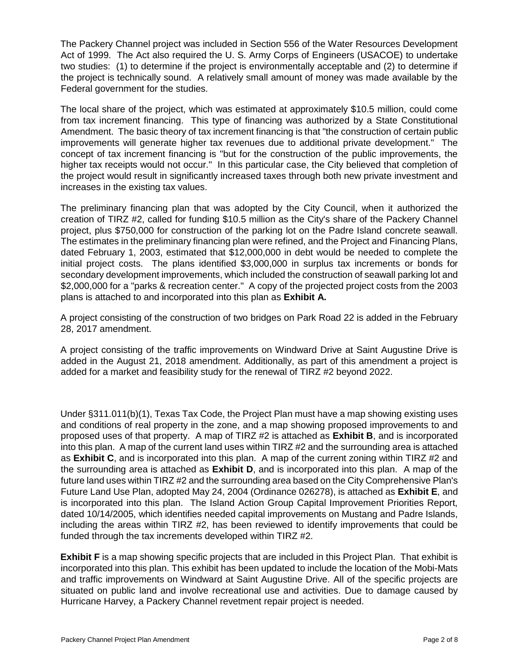The Packery Channel project was included in Section 556 of the Water Resources Development Act of 1999. The Act also required the U. S. Army Corps of Engineers (USACOE) to undertake two studies: (1) to determine if the project is environmentally acceptable and (2) to determine if the project is technically sound. A relatively small amount of money was made available by the Federal government for the studies.

The local share of the project, which was estimated at approximately \$10.5 million, could come from tax increment financing. This type of financing was authorized by a State Constitutional Amendment. The basic theory of tax increment financing is that "the construction of certain public improvements will generate higher tax revenues due to additional private development." The concept of tax increment financing is "but for the construction of the public improvements, the higher tax receipts would not occur." In this particular case, the City believed that completion of the project would result in significantly increased taxes through both new private investment and increases in the existing tax values.

The preliminary financing plan that was adopted by the City Council, when it authorized the creation of TIRZ #2, called for funding \$10.5 million as the City's share of the Packery Channel project, plus \$750,000 for construction of the parking lot on the Padre Island concrete seawall. The estimates in the preliminary financing plan were refined, and the Project and Financing Plans, dated February 1, 2003, estimated that \$12,000,000 in debt would be needed to complete the initial project costs. The plans identified \$3,000,000 in surplus tax increments or bonds for secondary development improvements, which included the construction of seawall parking lot and \$2,000,000 for a "parks & recreation center." A copy of the projected project costs from the 2003 plans is attached to and incorporated into this plan as **Exhibit A.**

A project consisting of the construction of two bridges on Park Road 22 is added in the February 28, 2017 amendment.

A project consisting of the traffic improvements on Windward Drive at Saint Augustine Drive is added in the August 21, 2018 amendment. Additionally, as part of this amendment a project is added for a market and feasibility study for the renewal of TIRZ #2 beyond 2022.

Under §311.011(b)(1), Texas Tax Code, the Project Plan must have a map showing existing uses and conditions of real property in the zone, and a map showing proposed improvements to and proposed uses of that property. A map of TIRZ #2 is attached as **Exhibit B**, and is incorporated into this plan. A map of the current land uses within TIRZ #2 and the surrounding area is attached as **Exhibit C**, and is incorporated into this plan. A map of the current zoning within TIRZ #2 and the surrounding area is attached as **Exhibit D**, and is incorporated into this plan. A map of the future land uses within TIRZ #2 and the surrounding area based on the City Comprehensive Plan's Future Land Use Plan, adopted May 24, 2004 (Ordinance 026278), is attached as **Exhibit E**, and is incorporated into this plan. The Island Action Group Capital Improvement Priorities Report, dated 10/14/2005, which identifies needed capital improvements on Mustang and Padre Islands, including the areas within TIRZ #2, has been reviewed to identify improvements that could be funded through the tax increments developed within TIRZ #2.

**Exhibit F** is a map showing specific projects that are included in this Project Plan. That exhibit is incorporated into this plan. This exhibit has been updated to include the location of the Mobi-Mats and traffic improvements on Windward at Saint Augustine Drive. All of the specific projects are situated on public land and involve recreational use and activities. Due to damage caused by Hurricane Harvey, a Packery Channel revetment repair project is needed.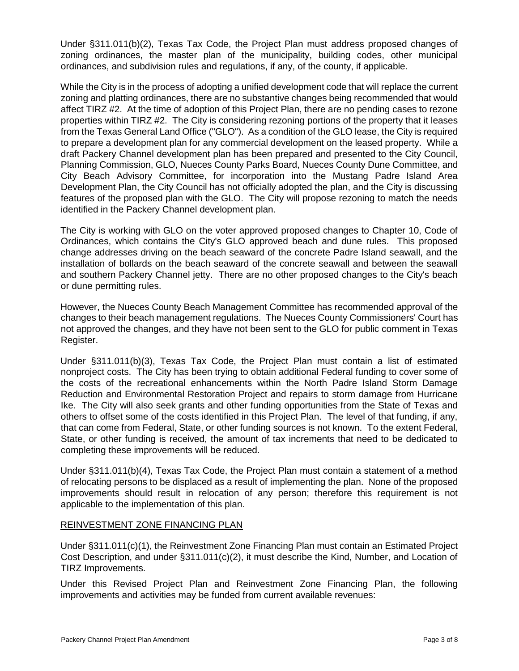Under §311.011(b)(2), Texas Tax Code, the Project Plan must address proposed changes of zoning ordinances, the master plan of the municipality, building codes, other municipal ordinances, and subdivision rules and regulations, if any, of the county, if applicable.

While the City is in the process of adopting a unified development code that will replace the current zoning and platting ordinances, there are no substantive changes being recommended that would affect TIRZ #2. At the time of adoption of this Project Plan, there are no pending cases to rezone properties within TIRZ #2. The City is considering rezoning portions of the property that it leases from the Texas General Land Office ("GLO"). As a condition of the GLO lease, the City is required to prepare a development plan for any commercial development on the leased property. While a draft Packery Channel development plan has been prepared and presented to the City Council, Planning Commission, GLO, Nueces County Parks Board, Nueces County Dune Committee, and City Beach Advisory Committee, for incorporation into the Mustang Padre Island Area Development Plan, the City Council has not officially adopted the plan, and the City is discussing features of the proposed plan with the GLO. The City will propose rezoning to match the needs identified in the Packery Channel development plan.

The City is working with GLO on the voter approved proposed changes to Chapter 10, Code of Ordinances, which contains the City's GLO approved beach and dune rules. This proposed change addresses driving on the beach seaward of the concrete Padre Island seawall, and the installation of bollards on the beach seaward of the concrete seawall and between the seawall and southern Packery Channel jetty. There are no other proposed changes to the City's beach or dune permitting rules.

However, the Nueces County Beach Management Committee has recommended approval of the changes to their beach management regulations. The Nueces County Commissioners' Court has not approved the changes, and they have not been sent to the GLO for public comment in Texas Register.

Under §311.011(b)(3), Texas Tax Code, the Project Plan must contain a list of estimated nonproject costs. The City has been trying to obtain additional Federal funding to cover some of the costs of the recreational enhancements within the North Padre Island Storm Damage Reduction and Environmental Restoration Project and repairs to storm damage from Hurricane Ike. The City will also seek grants and other funding opportunities from the State of Texas and others to offset some of the costs identified in this Project Plan. The level of that funding, if any, that can come from Federal, State, or other funding sources is not known. To the extent Federal, State, or other funding is received, the amount of tax increments that need to be dedicated to completing these improvements will be reduced.

Under §311.011(b)(4), Texas Tax Code, the Project Plan must contain a statement of a method of relocating persons to be displaced as a result of implementing the plan. None of the proposed improvements should result in relocation of any person; therefore this requirement is not applicable to the implementation of this plan.

#### REINVESTMENT ZONE FINANCING PLAN

Under §311.011(c)(1), the Reinvestment Zone Financing Plan must contain an Estimated Project Cost Description, and under §311.011(c)(2), it must describe the Kind, Number, and Location of TIRZ Improvements.

Under this Revised Project Plan and Reinvestment Zone Financing Plan, the following improvements and activities may be funded from current available revenues: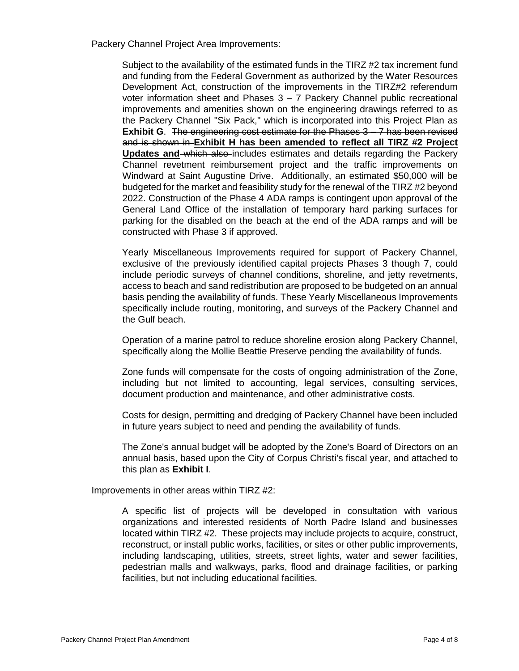Packery Channel Project Area Improvements:

Subject to the availability of the estimated funds in the TIRZ #2 tax increment fund and funding from the Federal Government as authorized by the Water Resources Development Act, construction of the improvements in the TIRZ#2 referendum voter information sheet and Phases 3 – 7 Packery Channel public recreational improvements and amenities shown on the engineering drawings referred to as the Packery Channel "Six Pack," which is incorporated into this Project Plan as **Exhibit G**. The engineering cost estimate for the Phases 3 – 7 has been revised and is shown in **Exhibit H has been amended to reflect all TIRZ #2 Project Updates and which also** includes estimates and details regarding the Packery Channel revetment reimbursement project and the traffic improvements on Windward at Saint Augustine Drive. Additionally, an estimated \$50,000 will be budgeted for the market and feasibility study for the renewal of the TIRZ #2 beyond 2022. Construction of the Phase 4 ADA ramps is contingent upon approval of the General Land Office of the installation of temporary hard parking surfaces for parking for the disabled on the beach at the end of the ADA ramps and will be constructed with Phase 3 if approved.

Yearly Miscellaneous Improvements required for support of Packery Channel, exclusive of the previously identified capital projects Phases 3 though 7, could include periodic surveys of channel conditions, shoreline, and jetty revetments, access to beach and sand redistribution are proposed to be budgeted on an annual basis pending the availability of funds. These Yearly Miscellaneous Improvements specifically include routing, monitoring, and surveys of the Packery Channel and the Gulf beach.

Operation of a marine patrol to reduce shoreline erosion along Packery Channel, specifically along the Mollie Beattie Preserve pending the availability of funds.

Zone funds will compensate for the costs of ongoing administration of the Zone, including but not limited to accounting, legal services, consulting services, document production and maintenance, and other administrative costs.

Costs for design, permitting and dredging of Packery Channel have been included in future years subject to need and pending the availability of funds.

The Zone's annual budget will be adopted by the Zone's Board of Directors on an annual basis, based upon the City of Corpus Christi's fiscal year, and attached to this plan as **Exhibit I**.

Improvements in other areas within TIRZ #2:

A specific list of projects will be developed in consultation with various organizations and interested residents of North Padre Island and businesses located within TIRZ #2. These projects may include projects to acquire, construct, reconstruct, or install public works, facilities, or sites or other public improvements, including landscaping, utilities, streets, street lights, water and sewer facilities, pedestrian malls and walkways, parks, flood and drainage facilities, or parking facilities, but not including educational facilities.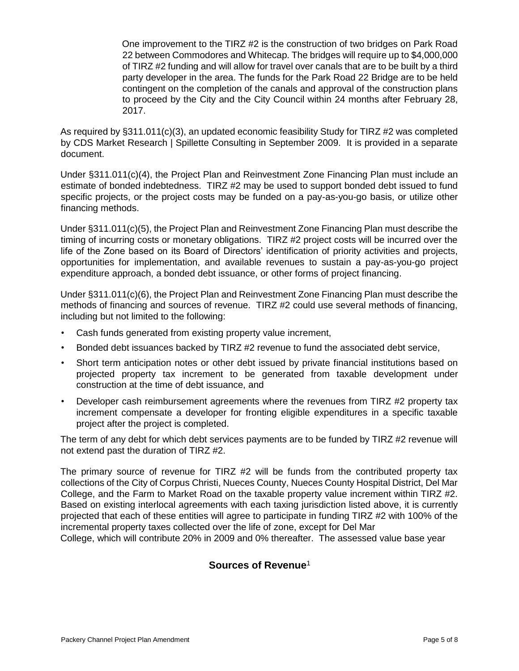One improvement to the TIRZ #2 is the construction of two bridges on Park Road 22 between Commodores and Whitecap. The bridges will require up to \$4,000,000 of TIRZ #2 funding and will allow for travel over canals that are to be built by a third party developer in the area. The funds for the Park Road 22 Bridge are to be held contingent on the completion of the canals and approval of the construction plans to proceed by the City and the City Council within 24 months after February 28, 2017.

As required by §311.011(c)(3), an updated economic feasibility Study for TIRZ #2 was completed by CDS Market Research | Spillette Consulting in September 2009. It is provided in a separate document.

Under §311.011(c)(4), the Project Plan and Reinvestment Zone Financing Plan must include an estimate of bonded indebtedness. TIRZ #2 may be used to support bonded debt issued to fund specific projects, or the project costs may be funded on a pay-as-you-go basis, or utilize other financing methods.

Under §311.011(c)(5), the Project Plan and Reinvestment Zone Financing Plan must describe the timing of incurring costs or monetary obligations. TIRZ #2 project costs will be incurred over the life of the Zone based on its Board of Directors' identification of priority activities and projects, opportunities for implementation, and available revenues to sustain a pay-as-you-go project expenditure approach, a bonded debt issuance, or other forms of project financing.

Under §311.011(c)(6), the Project Plan and Reinvestment Zone Financing Plan must describe the methods of financing and sources of revenue. TIRZ #2 could use several methods of financing, including but not limited to the following:

- Cash funds generated from existing property value increment,
- Bonded debt issuances backed by TIRZ #2 revenue to fund the associated debt service,
- Short term anticipation notes or other debt issued by private financial institutions based on projected property tax increment to be generated from taxable development under construction at the time of debt issuance, and
- Developer cash reimbursement agreements where the revenues from TIRZ #2 property tax increment compensate a developer for fronting eligible expenditures in a specific taxable project after the project is completed.

The term of any debt for which debt services payments are to be funded by TIRZ #2 revenue will not extend past the duration of TIRZ #2.

The primary source of revenue for TIRZ #2 will be funds from the contributed property tax collections of the City of Corpus Christi, Nueces County, Nueces County Hospital District, Del Mar College, and the Farm to Market Road on the taxable property value increment within TIRZ #2. Based on existing interlocal agreements with each taxing jurisdiction listed above, it is currently projected that each of these entities will agree to participate in funding TIRZ #2 with 100% of the incremental property taxes collected over the life of zone, except for Del Mar

College, which will contribute 20% in 2009 and 0% thereafter. The assessed value base year

## **Sources of Revenue**1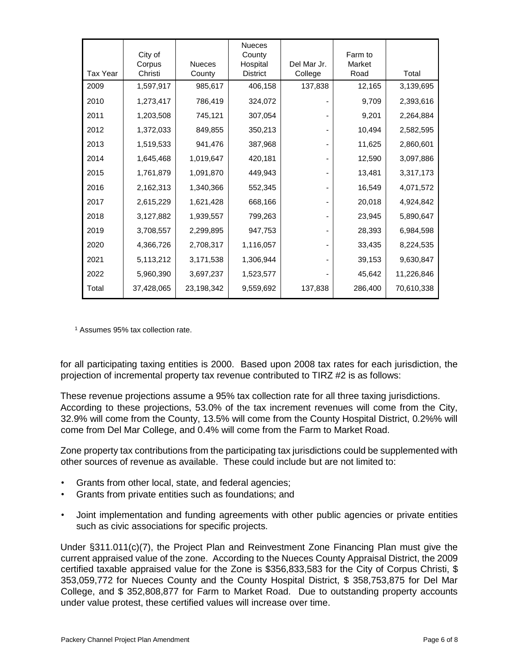| Tax Year | City of<br>Corpus<br>Christi | <b>Nueces</b><br>County | <b>Nueces</b><br>County<br>Hospital<br><b>District</b> | Del Mar Jr.<br>College | Farm to<br>Market<br>Road | Total      |
|----------|------------------------------|-------------------------|--------------------------------------------------------|------------------------|---------------------------|------------|
| 2009     | 1,597,917                    | 985,617                 | 406,158                                                | 137,838                | 12,165                    | 3,139,695  |
| 2010     | 1,273,417                    | 786,419                 | 324,072                                                |                        | 9,709                     | 2,393,616  |
| 2011     | 1,203,508                    | 745,121                 | 307,054                                                |                        | 9,201                     | 2,264,884  |
| 2012     | 1,372,033                    | 849,855                 | 350,213                                                |                        | 10,494                    | 2,582,595  |
| 2013     | 1,519,533                    | 941,476                 | 387,968                                                |                        | 11,625                    | 2,860,601  |
| 2014     | 1,645,468                    | 1,019,647               | 420,181                                                |                        | 12,590                    | 3,097,886  |
| 2015     | 1,761,879                    | 1,091,870               | 449,943                                                |                        | 13,481                    | 3,317,173  |
| 2016     | 2,162,313                    | 1,340,366               | 552,345                                                |                        | 16,549                    | 4,071,572  |
| 2017     | 2,615,229                    | 1,621,428               | 668,166                                                |                        | 20,018                    | 4,924,842  |
| 2018     | 3,127,882                    | 1,939,557               | 799,263                                                |                        | 23,945                    | 5,890,647  |
| 2019     | 3,708,557                    | 2,299,895               | 947,753                                                |                        | 28,393                    | 6,984,598  |
| 2020     | 4,366,726                    | 2,708,317               | 1,116,057                                              |                        | 33,435                    | 8,224,535  |
| 2021     | 5,113,212                    | 3,171,538               | 1,306,944                                              |                        | 39,153                    | 9,630,847  |
| 2022     | 5,960,390                    | 3,697,237               | 1,523,577                                              |                        | 45,642                    | 11,226,846 |
| Total    | 37,428,065                   | 23,198,342              | 9,559,692                                              | 137,838                | 286,400                   | 70,610,338 |

<sup>1</sup> Assumes 95% tax collection rate.

for all participating taxing entities is 2000. Based upon 2008 tax rates for each jurisdiction, the projection of incremental property tax revenue contributed to TIRZ #2 is as follows:

These revenue projections assume a 95% tax collection rate for all three taxing jurisdictions. According to these projections, 53.0% of the tax increment revenues will come from the City, 32.9% will come from the County, 13.5% will come from the County Hospital District, 0.2%% will come from Del Mar College, and 0.4% will come from the Farm to Market Road.

Zone property tax contributions from the participating tax jurisdictions could be supplemented with other sources of revenue as available. These could include but are not limited to:

- Grants from other local, state, and federal agencies;
- Grants from private entities such as foundations; and
- Joint implementation and funding agreements with other public agencies or private entities such as civic associations for specific projects.

Under §311.011(c)(7), the Project Plan and Reinvestment Zone Financing Plan must give the current appraised value of the zone. According to the Nueces County Appraisal District, the 2009 certified taxable appraised value for the Zone is \$356,833,583 for the City of Corpus Christi, \$ 353,059,772 for Nueces County and the County Hospital District, \$ 358,753,875 for Del Mar College, and \$ 352,808,877 for Farm to Market Road. Due to outstanding property accounts under value protest, these certified values will increase over time.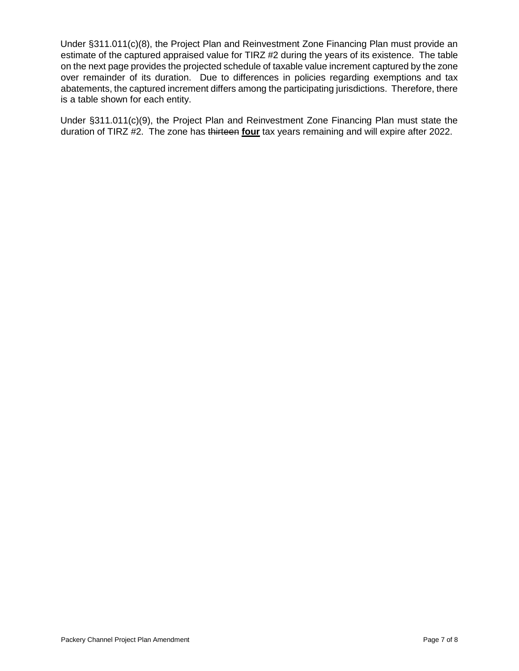Under §311.011(c)(8), the Project Plan and Reinvestment Zone Financing Plan must provide an estimate of the captured appraised value for TIRZ #2 during the years of its existence. The table on the next page provides the projected schedule of taxable value increment captured by the zone over remainder of its duration. Due to differences in policies regarding exemptions and tax abatements, the captured increment differs among the participating jurisdictions. Therefore, there is a table shown for each entity.

Under §311.011(c)(9), the Project Plan and Reinvestment Zone Financing Plan must state the duration of TIRZ #2. The zone has thirteen **four** tax years remaining and will expire after 2022.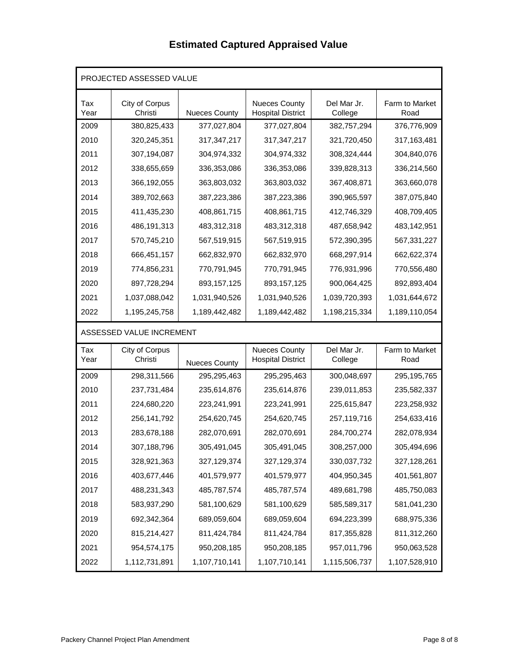# **Estimated Captured Appraised Value**

| PROJECTED ASSESSED VALUE |                           |                      |                                                  |                        |                        |  |  |  |  |
|--------------------------|---------------------------|----------------------|--------------------------------------------------|------------------------|------------------------|--|--|--|--|
| Tax<br>Year              | City of Corpus<br>Christi | <b>Nueces County</b> | <b>Nueces County</b><br><b>Hospital District</b> | Del Mar Jr.<br>College | Farm to Market<br>Road |  |  |  |  |
| 2009                     | 380,825,433               | 377,027,804          | 377,027,804                                      | 382,757,294            | 376,776,909            |  |  |  |  |
| 2010                     | 320,245,351               | 317, 347, 217        | 317,347,217                                      | 321,720,450            | 317,163,481            |  |  |  |  |
| 2011                     | 307,194,087               | 304,974,332          | 304,974,332                                      | 308,324,444            | 304,840,076            |  |  |  |  |
| 2012                     | 338,655,659               | 336,353,086          | 336, 353, 086                                    | 339,828,313            | 336,214,560            |  |  |  |  |
| 2013                     | 366,192,055               | 363,803,032          | 363,803,032                                      | 367,408,871            | 363,660,078            |  |  |  |  |
| 2014                     | 389,702,663               | 387,223,386          | 387,223,386                                      | 390,965,597            | 387,075,840            |  |  |  |  |
| 2015                     | 411,435,230               | 408,861,715          | 408,861,715                                      | 412,746,329            | 408,709,405            |  |  |  |  |
| 2016                     | 486,191,313               | 483,312,318          | 483,312,318                                      | 487,658,942            | 483,142,951            |  |  |  |  |
| 2017                     | 570,745,210               | 567,519,915          | 567,519,915                                      | 572,390,395            | 567,331,227            |  |  |  |  |
| 2018                     | 666,451,157               | 662,832,970          | 662,832,970                                      | 668,297,914            | 662,622,374            |  |  |  |  |
| 2019                     | 774,856,231               | 770,791,945          | 770,791,945                                      | 776,931,996            | 770,556,480            |  |  |  |  |
| 2020                     | 897,728,294               | 893, 157, 125        | 893, 157, 125                                    | 900,064,425            | 892,893,404            |  |  |  |  |
| 2021                     | 1,037,088,042             | 1,031,940,526        | 1,031,940,526                                    | 1,039,720,393          | 1,031,644,672          |  |  |  |  |
| 2022                     | 1,195,245,758             | 1,189,442,482        | 1,189,442,482                                    | 1,198,215,334          | 1,189,110,054          |  |  |  |  |
| ASSESSED VALUE INCREMENT |                           |                      |                                                  |                        |                        |  |  |  |  |
| Tax<br>Year              | City of Corpus<br>Christi | <b>Nueces County</b> | <b>Nueces County</b><br><b>Hospital District</b> | Del Mar Jr.<br>College | Farm to Market<br>Road |  |  |  |  |
| 2009                     | 298,311,566               | 295,295,463          | 295,295,463                                      | 300,048,697            | 295,195,765            |  |  |  |  |
| 2010                     | 237,731,484               | 235,614,876          | 235,614,876                                      | 239,011,853            | 235,582,337            |  |  |  |  |
| 2011                     | 224,680,220               | 223,241,991          | 223,241,991                                      | 225,615,847            | 223,258,932            |  |  |  |  |
| 2012                     | 256, 141, 792             | 254,620,745          | 254,620,745                                      | 257,119,716            | 254,633,416            |  |  |  |  |
| 2013                     | 283,678,188               | 282,070,691          | 282,070,691                                      | 284,700,274            | 282,078,934            |  |  |  |  |
| 2014                     | 307,188,796               | 305,491,045          | 305,491,045                                      | 308,257,000            | 305,494,696            |  |  |  |  |
| 2015                     | 328,921,363               | 327,129,374          | 327,129,374                                      | 330,037,732            | 327,128,261            |  |  |  |  |
| 2016                     | 403,677,446               | 401,579,977          | 401,579,977                                      | 404,950,345            | 401,561,807            |  |  |  |  |
| 2017                     | 488,231,343               | 485,787,574          | 485,787,574                                      | 489,681,798            | 485,750,083            |  |  |  |  |
| 2018                     | 583,937,290               | 581,100,629          | 581,100,629                                      | 585,589,317            | 581,041,230            |  |  |  |  |
| 2019                     | 692,342,364               | 689,059,604          | 689,059,604                                      | 694,223,399            | 688,975,336            |  |  |  |  |
| 2020                     | 815,214,427               | 811,424,784          | 811,424,784                                      | 817,355,828            | 811,312,260            |  |  |  |  |
| 2021                     | 954,574,175               | 950,208,185          | 950,208,185                                      | 957,011,796            | 950,063,528            |  |  |  |  |
| 2022                     | 1,112,731,891             | 1,107,710,141        | 1,107,710,141                                    | 1,115,506,737          | 1,107,528,910          |  |  |  |  |